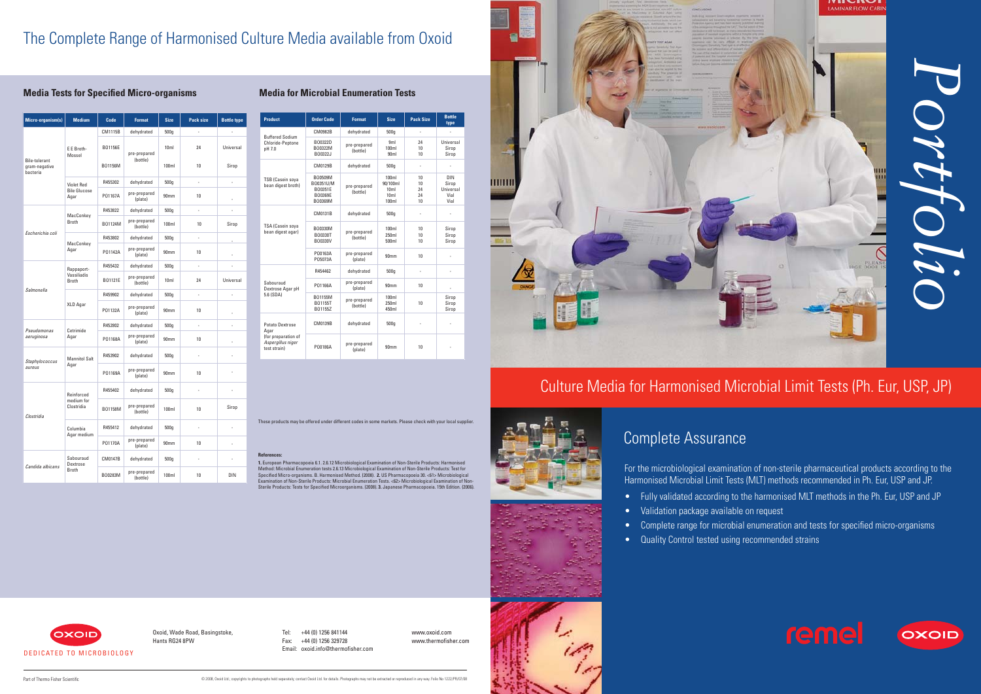

For the microbiological examination of non-sterile pharmaceutical products according to the Harmonised Microbial Limit Tests (MLT) methods recommended in Ph. Eur, USP and JP.





- Fully validated according to the harmonised MLT methods in the Ph. Eur, USP and JP • Validation package available on request
- 
- Complete range for microbial enumeration and tests for specified micro-organisms • Quality Control tested using recommended strains
- 

# Culture Media for Harmonised Microbial Limit Tests (Ph. Eur, USP, JP)



# Complete Assurance

| <b>Product</b>                                                                      | <b>Order Code</b>                                     | <b>Format</b>            | <b>Size</b>                                                      | <b>Pack Size</b>           | <b>Bottle</b><br>type                            |
|-------------------------------------------------------------------------------------|-------------------------------------------------------|--------------------------|------------------------------------------------------------------|----------------------------|--------------------------------------------------|
| <b>Buffered Sodium</b><br>Chloride-Peptone<br>pH 7.0                                | CM0982B                                               | dehydrated               | 500q                                                             | ä,                         | ä,                                               |
|                                                                                     | B00322D<br>B00322M<br>B00322J                         | pre-prepared<br>(bottle) | 9 <sub>ml</sub><br>100ml<br>90 <sub>m</sub>                      | 24<br>10<br>10             | Universal<br>Sirop<br>Sirop                      |
| <b>TSB (Casein soya</b><br>bean digest broth)                                       | CM0129B                                               | dehydrated               | 500g                                                             | ÷,                         | ä,                                               |
|                                                                                     | B00509M<br>B00351U/M<br>B00351E<br>B00369E<br>B00369M | pre-prepared<br>(bottle) | 100ml<br>90/100ml<br>10 <sub>m</sub><br>10 <sub>m</sub><br>100ml | 10<br>10<br>24<br>24<br>10 | <b>DIN</b><br>Sirop<br>Universal<br>Vial<br>Vial |
| TSA (Casein soya<br>bean digest agar)                                               | CM0131B                                               | dehydrated               | 500q                                                             |                            |                                                  |
|                                                                                     | B00330M<br>B00330T<br>B00330V                         | pre-prepared<br>(bottle) | 100ml<br>250ml<br>500ml                                          | 10<br>10<br>10             | Sirop<br>Sirop<br>Sirop                          |
|                                                                                     | P00163A<br>P05073A                                    | pre-prepared<br>(plate)  | 90 <sub>mm</sub>                                                 | 10                         | ä,                                               |
| Sabouraud<br>Dextrose Agar pH<br>5.6 (SDA)                                          | R454462                                               | dehydrated               | 500q                                                             |                            |                                                  |
|                                                                                     | P01166A                                               | pre-prepared<br>(plate)  | 90 <sub>mm</sub>                                                 | 10                         | ä,                                               |
|                                                                                     | B01155M<br>B01155T<br>B01155Z                         | pre-prepared<br>(bottle) | 100ml<br>250ml<br>450ml                                          | 10                         | Sirop<br>Sirop<br>Sirop                          |
| Potato Dextrose<br>Agar<br>(for preparation of<br>Aspergillus niger<br>test strain) | CM0139B                                               | dehydrated               | 500q                                                             |                            |                                                  |
|                                                                                     | P00186A                                               | pre-prepared<br>(plate)  | 90mm                                                             | 10                         |                                                  |

Tel: +44 (0) 1256 841144 Fax: +44 (0) 1256 329728 Email: oxoid.info@thermofisher.com www.oxoid.com www.thermofisher.com

| <b>Micro-organism(s)</b>                          | <b>Medium</b>                                    | Code    | <b>Format</b>            | <b>Size</b>      | Pack size      | <b>Bottle type</b> |
|---------------------------------------------------|--------------------------------------------------|---------|--------------------------|------------------|----------------|--------------------|
| <b>Bile-tolerant</b><br>gram-negative<br>bacteria | E E Broth-<br>Mossel                             | CM1115B | dehydrated               | 500q             | ÷,             |                    |
|                                                   |                                                  | B01156E | pre-prepared<br>(bottle) | 10 <sub>m</sub>  | 24             | Universal          |
|                                                   |                                                  | B01156M |                          | 100ml            | 10             | Sirop              |
|                                                   | <b>Violet Red</b><br><b>Bile Glucose</b><br>Agar | R455302 | dehydrated               | 500q             | L,             | L,                 |
|                                                   |                                                  | P01167A | pre-prepared<br>(plate)  | 90 <sub>mm</sub> | 10             |                    |
| Escherichia coli                                  | MacConkey<br><b>Broth</b>                        | R453822 | dehydrated               | 500q             | L.             | L.                 |
|                                                   |                                                  | B01124M | pre-prepared<br>(bottle) | 100ml            | 10             | Sirop              |
|                                                   | MacConkey<br>Agar                                | R453802 | dehydrated               | 500g             | $\overline{a}$ |                    |
|                                                   |                                                  | P01142A | pre-prepared<br>(plate)  | 90 <sub>mm</sub> | 10             | ä,                 |
| Salmonella                                        | Rappaport-<br>Vassiliadis<br><b>Broth</b>        | R455432 | dehydrated               | 500g             |                |                    |
|                                                   |                                                  | B01121E | pre-prepared<br>(bottle) | 10 <sub>m</sub>  | 24             | Universal          |
|                                                   | XLD Agar                                         | R459902 | dehydrated               | 500g             | ä,             |                    |
|                                                   |                                                  | P01132A | pre-prepared<br>(plate)  | 90mm             | 10             | l,                 |
| Pseudomonas<br>aeruginosa                         | Cetrimide<br>Agar                                | R452802 | dehydrated               | 500g             | L,             | L                  |
|                                                   |                                                  | P01168A | pre-prepared<br>(plate)  | 90 <sub>mm</sub> | 10             | $\overline{a}$     |
| Staphylococcus<br>aureus                          | <b>Mannitol Salt</b><br>Agar                     | R453902 | dehydrated               | 500g             | ÷,             | l,                 |
|                                                   |                                                  | P01169A | pre-prepared<br>(plate)  | 90mm             | 10             | L                  |
| Clostridia                                        | Reinforced<br>medium for<br>Clostridia           | R455402 | dehydrated               | 500q             | ÷,             | ÷,                 |
|                                                   |                                                  | B01158M | pre-prepared<br>(bottle) | 100ml            | 10             | Sirop              |
|                                                   | Columbia<br>Agar medium                          | R455412 | dehydrated               | 500g             | ÷,             | L.                 |
|                                                   |                                                  | P01170A | pre-prepared<br>(plate)  | 90 <sub>mm</sub> | 10             |                    |
| Candida albicans                                  | Sabouraud<br>Dextrose<br><b>Broth</b>            | CM0147B | dehydrated               | 500g             | ä,             | L,                 |
|                                                   |                                                  | B00283M | pre-prepared<br>(bottle) | 100ml            | 10             | DIN                |

Oxoid, Wade Road, Basingstoke, Hants RG24 8PW

Part of Thermo Fisher Scientifi c © 2008, Oxoid Ltd.; copyrights to photographs held separately; contact Oxoid Ltd. for details. Photographs may not be extracted or reproduced in any way. Folio No 1222/PR/07/08



# The Complete Range of Harmonised Culture Media available from Oxoid

### **Media Tests for Specified Micro-organisms <b>Media for Microbial Enumeration Tests**

### **References:**

1. European Pharmacopoeia 6.1. 2.6.12 Microbiological Examination of Non-Sterile Products: Harmonised<br>Method: Microbial Enumeration tests 2.6.13 Microbiological Examination of Non-Sterile Products: Test for<br>Specified Micro



These products may be offered under different codes in some markets. Please check with your local supplier.